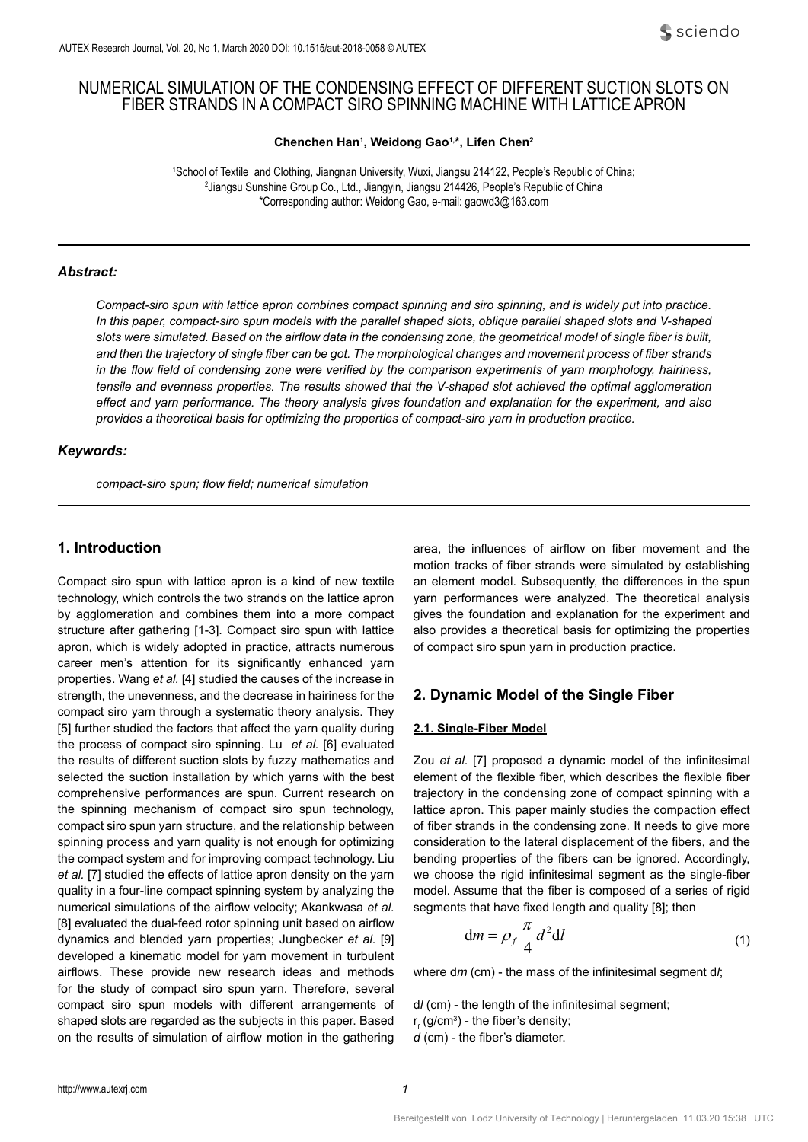# NUMERICAL SIMULATION OF THE CONDENSING EFFECT OF DIFFERENT SUCTION SLOTS ON FIBER STRANDS IN A COMPACT SIRO SPINNING MACHINE WITH LATTICE APRON

**Chenchen Han1 , Weidong Gao1,\*, Lifen Chen2**

1 School of Textile and Clothing, Jiangnan University, Wuxi, Jiangsu 214122, People's Republic of China; 2 <sup>2</sup> Jiangsu Sunshine Group Co., Ltd., Jiangyin, Jiangsu 214426, People's Republic of China \*Corresponding author: Weidong Gao, e-mail: gaowd3@163.com

### *Abstract:*

*Compact-siro spun with lattice apron combines compact spinning and siro spinning, and is widely put into practice. In this paper, compact-siro spun models with the parallel shaped slots, oblique parallel shaped slots and V-shaped slots were simulated. Based on the airflow data in the condensing zone, the geometrical model of single fiber is built, and then the trajectory of single fiber can be got. The morphological changes and movement process of fiber strands in the flow field of condensing zone were verified by the comparison experiments of yarn morphology, hairiness, tensile and evenness properties. The results showed that the V-shaped slot achieved the optimal agglomeration effect and yarn performance. The theory analysis gives foundation and explanation for the experiment, and also provides a theoretical basis for optimizing the properties of compact-siro yarn in production practice.*

# *Keywords:*

*compact-siro spun; flow field; numerical simulation*

# **1. Introduction**

Compact siro spun with lattice apron is a kind of new textile technology, which controls the two strands on the lattice apron by agglomeration and combines them into a more compact structure after gathering [1-3]. Compact siro spun with lattice apron, which is widely adopted in practice, attracts numerous career men's attention for its significantly enhanced yarn properties. Wang *et al.* [4] studied the causes of the increase in strength, the unevenness, and the decrease in hairiness for the compact siro yarn through a systematic theory analysis. They [5] further studied the factors that affect the yarn quality during the process of compact siro spinning. Lu *et al.* [6] evaluated the results of different suction slots by fuzzy mathematics and selected the suction installation by which yarns with the best comprehensive performances are spun. Current research on the spinning mechanism of compact siro spun technology, compact siro spun yarn structure, and the relationship between spinning process and yarn quality is not enough for optimizing the compact system and for improving compact technology. Liu *et al.* [7] studied the effects of lattice apron density on the yarn quality in a four-line compact spinning system by analyzing the numerical simulations of the airflow velocity; Akankwasa *et al*. [8] evaluated the dual-feed rotor spinning unit based on airflow dynamics and blended yarn properties; Jungbecker *et al*. [9] developed a kinematic model for yarn movement in turbulent airflows. These provide new research ideas and methods for the study of compact siro spun yarn. Therefore, several compact siro spun models with different arrangements of shaped slots are regarded as the subjects in this paper. Based on the results of simulation of airflow motion in the gathering area, the influences of airflow on fiber movement and the motion tracks of fiber strands were simulated by establishing an element model. Subsequently, the differences in the spun yarn performances were analyzed. The theoretical analysis gives the foundation and explanation for the experiment and also provides a theoretical basis for optimizing the properties of compact siro spun yarn in production practice.

# **2. Dynamic Model of the Single Fiber**

### **2.1. Single-Fiber Model**

Zou *et al*. [7] proposed a dynamic model of the infinitesimal element of the flexible fiber, which describes the flexible fiber trajectory in the condensing zone of compact spinning with a lattice apron. This paper mainly studies the compaction effect of fiber strands in the condensing zone. It needs to give more consideration to the lateral displacement of the fibers, and the bending properties of the fibers can be ignored. Accordingly, we choose the rigid infinitesimal segment as the single-fiber model. Assume that the fiber is composed of a series of rigid segments that have fixed length and quality [8]; then

$$
\mathrm{d}m = \rho_f \frac{\pi}{4} d^2 \mathrm{d}l \tag{1}
$$

where d*m* (cm) - the mass of the infinitesimal segment d*l*;

d*l* (cm) - the length of the infinitesimal segment;

- r<sub>f</sub> (g/cm $^3$ ) the fiber's density;
- *d* (cm) the fiber's diameter.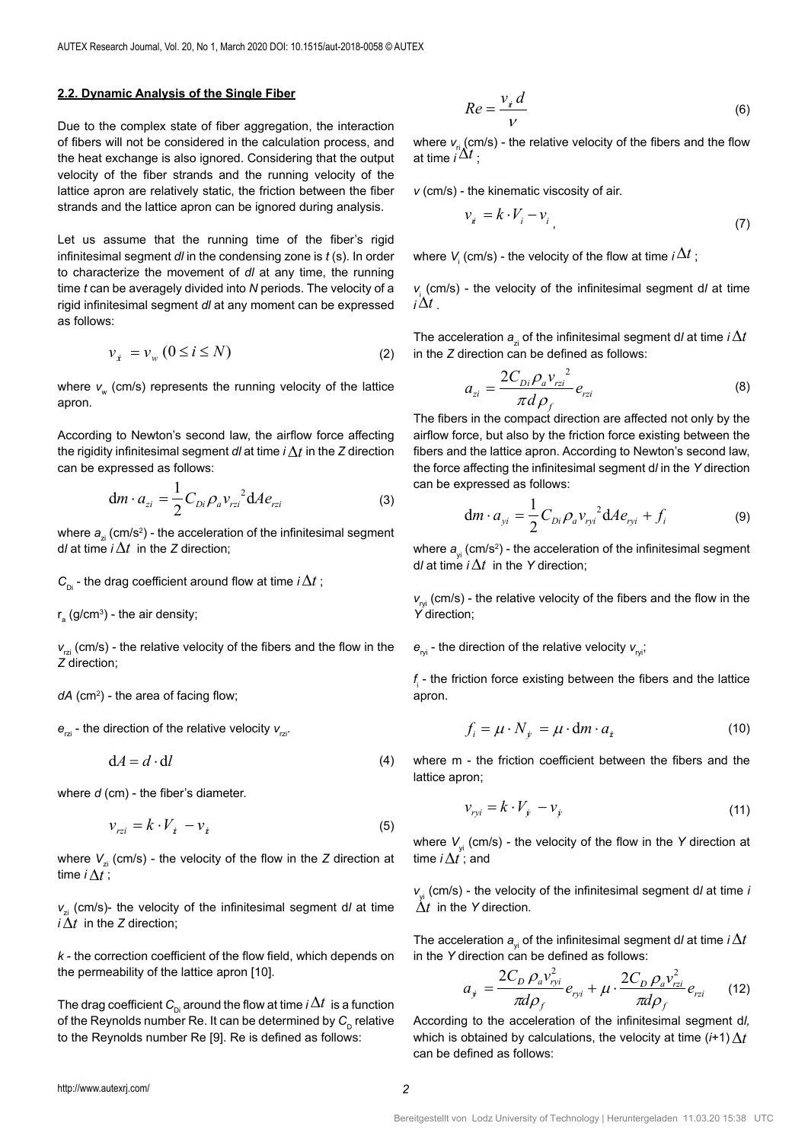### **2.2. Dynamic Analysis of the Single Fiber**

Due to the complex state of fiber aggregation, the interaction of fibers will not be considered in the calculation process, and the heat exchange is also ignored. Considering that the output velocity of the fiber strands and the running velocity of the lattice apron are relatively static, the friction between the fiber strands and the lattice apron can be ignored during analysis.

Let us assume that the running time of the fiber's rigid infinitesimal segment *dl* in the condensing zone is *t* (s). In order to characterize the movement of *dl* at any time, the running time *t* can be averagely divided into *N* periods. The velocity of a rigid infinitesimal segment *dl* at any moment can be expressed as follows:

$$
\nu_{\dot{x}} = \nu_{w} \left( 0 \le i \le N \right) \tag{2}
$$

where v<sub>w</sub> (cm/s) represents the running velocity of the lattice apron.

According to Newton's second law, the airflow force affecting the rigidity infinitesimal segment *dl* at time *i*∆*t* in the *Z* direction can be expressed as follows:

$$
\mathrm{d}m \cdot a_{zi} = \frac{1}{2} C_{Di} \rho_a v_{rzi}^2 \mathrm{d}A e_{rzi} \tag{3}
$$

where  $\bm{a}_{\text{zi}}^{\phantom{\dag}}$  (cm/s<sup>2</sup>) - the acceleration of the infinitesimal segment d*l* at time *i*∆*t* in the *Z* direction;

 $C_{\text{Di}}$  - the drag coefficient around flow at time *i*∆*t* ;

r $_{\rm a}$  (g/cm $^3$ ) - the air density;

 $v<sub>min</sub>$  (cm/s) - the relative velocity of the fibers and the flow in the *Z* direction;

*dA* (cm2 ) - the area of facing flow;

 $e_{\text{z}}$  - the direction of the relative velocity  $v_{\text{z}}$ .

 $dA = d \cdot dl$  (4)

where  $d$  (cm) - the fiber's diameter.

$$
\mathcal{V}_{rzi} = k \cdot V_{\dot{z}} - \mathcal{V}_{\dot{z}} \tag{5}
$$

where  $V_{\tau i}$  (cm/s) - the velocity of the flow in the *Z* direction at time *i*∆*t* ;

*v<sub>zi</sub>* (cm/s)- the velocity of the infinitesimal segment d/ at time *i* $\Delta t$  in the *Z* direction;

*k* - the correction coefficient of the flow field, which depends on the permeability of the lattice apron [10].

The drag coefficient  $C_{\text{D}i}$  around the flow at time *i* $\Delta t$  is a function of the Reynolds number Re. It can be determined by C<sub>p</sub> relative to the Reynolds number Re [9]. Re is defined as follows:

$$
Re = \frac{v_{i} d}{V}
$$
 (6)

where  $v_{n}$  (cm/s) - the relative velocity of the fibers and the flow at time *i*∆*t* ;

*v* (cm/s) - the kinematic viscosity of air.

$$
\nu_i = k \cdot V_i - \nu_i \tag{7}
$$

where  $V_{\scriptscriptstyle \parallel}$  (cm/s) - the velocity of the flow at time *i*  $\Delta t$  ;

*v*i (cm/s) - the velocity of the infinitesimal segment d*l* at time *<sup>i</sup>*∆*t* .

The acceleration  $a_{\alpha}$  of the infinitesimal segment d*l* at time *i* $\Delta t$ in the *Z* direction can be defined as follows:

$$
a_{zi} = \frac{2C_{Di}\rho_a v_{rzi}^2}{\pi d \rho_f} e_{rzi}
$$
 (8)

The fibers in the compact direction are affected not only by the airflow force, but also by the friction force existing between the fibers and the lattice apron. According to Newton's second law, the force affecting the infinitesimal segment d*l* in the *Y* direction can be expressed as follows:

$$
\mathrm{d}m \cdot a_{yi} = \frac{1}{2} C_{Di} \rho_a v_{ryi}^2 \mathrm{d}A e_{ryi} + f_i \tag{9}
$$

where  $a_{y_i}^{\phantom{\dag}}$  (cm/s<sup>2</sup>) - the acceleration of the infinitesimal segment d*l* at time *i*∆*t* in the *Y* direction;

 $v_{\text{rot}}$  (cm/s) - the relative velocity of the fibers and the flow in the *Y* direction;

 $e_{\gamma i}$  - the direction of the relative velocity  $v_{\gamma i}$ ;

 $f_{\text{i}}$  - the friction force existing between the fibers and the lattice apron.

$$
f_i = \mu \cdot N_{\dot{y}} = \mu \cdot dm \cdot a_{\dot{z}} \tag{10}
$$

where m - the friction coefficient between the fibers and the lattice apron;

$$
\nu_{\text{ryl}} = k \cdot V_{\dot{y}} - \nu_{\dot{y}} \tag{11}
$$

where  $V_{\text{vi}}$  (cm/s) - the velocity of the flow in the Y direction at time *i*∆*t* ; and

 $v_{\text{w}$  (cm/s) - the velocity of the infinitesimal segment d/ at time *i* ∆*t* in the *Y* direction*.*

The acceleration  $a_{y_i}$  of the infinitesimal segment d/ at time  $i\Delta t$ in the *Y* direction can be defined as follows:

$$
a_{j} = \frac{2C_{D} \rho_{a} v_{ryi}^{2}}{\pi d \rho_{f}} e_{ryi} + \mu \cdot \frac{2C_{D} \rho_{a} v_{rzi}^{2}}{\pi d \rho_{f}} e_{rzi} \qquad (12)
$$

According to the acceleration of the infinitesimal segment d*l,* which is obtained by calculations, the velocity at time (*i*+1)  $\Lambda t$ can be defined as follows: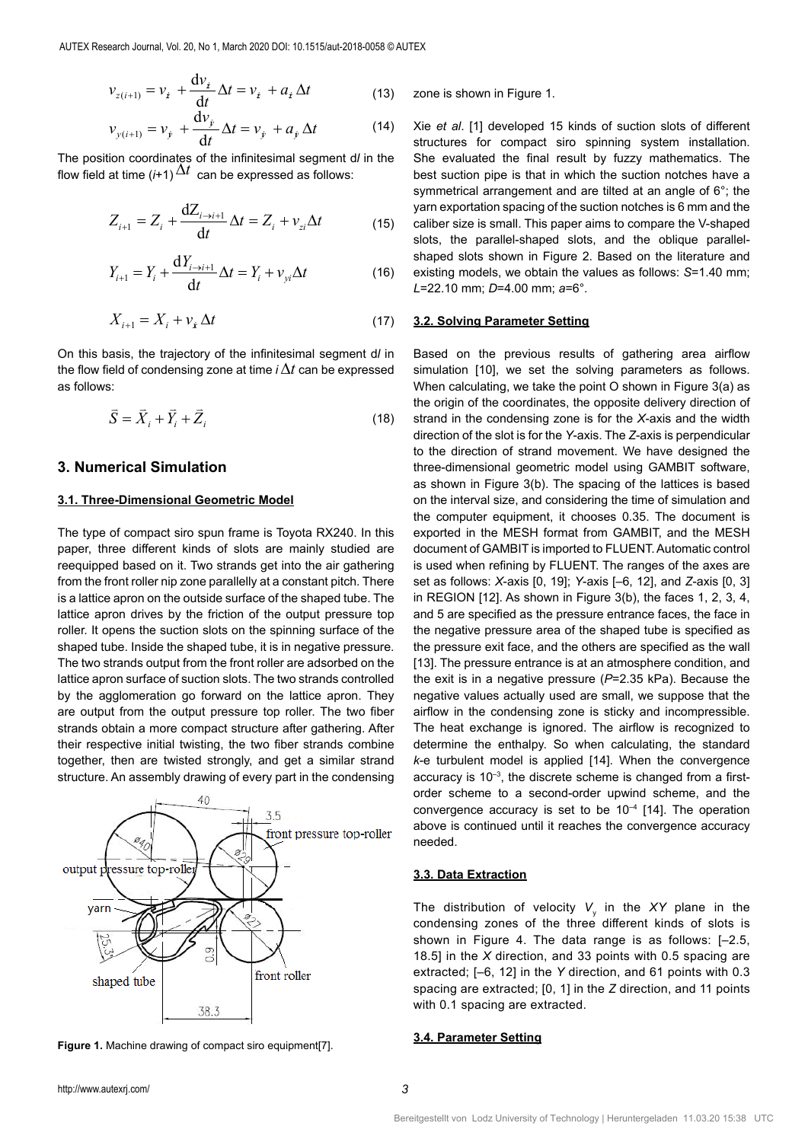$$
\nu_{z(i+1)} = \nu_i + \frac{\mathrm{d}\nu_i}{\mathrm{d}t} \Delta t = \nu_i + a_i \Delta t \tag{13}
$$

$$
\mathcal{V}_{y(i+1)} = \mathcal{V}_y + \frac{\mathrm{d}\mathcal{V}_y}{\mathrm{d}t} \Delta t = \mathcal{V}_y + a_y \Delta t \tag{14}
$$

The position coordinates of the infinitesimal segment d*l* in the flow field at time  $(i+1)\Delta t$  can be expressed as follows:

$$
Z_{i+1} = Z_i + \frac{dZ_{i \to i+1}}{dt} \Delta t = Z_i + v_{zi} \Delta t \tag{15}
$$

$$
Y_{i+1} = Y_i + \frac{\mathrm{d}Y_{i \to i+1}}{\mathrm{d}t} \Delta t = Y_i + \nu_{yi} \Delta t \tag{16}
$$

$$
X_{i+1} = X_i + v_{\dot{x}} \Delta t \tag{17}
$$

On this basis, the trajectory of the infinitesimal segment d*l* in the flow field of condensing zone at time *i*∆*t* can be expressed as follows:

$$
\vec{S} = \vec{X}_i + \vec{Y}_i + \vec{Z}_i
$$
\n(18)

# **3. Numerical Simulation**

# **3.1. Three-Dimensional Geometric Model**

The type of compact siro spun frame is Toyota RX240. In this paper, three different kinds of slots are mainly studied are reequipped based on it. Two strands get into the air gathering from the front roller nip zone parallelly at a constant pitch. There is a lattice apron on the outside surface of the shaped tube. The lattice apron drives by the friction of the output pressure top roller. It opens the suction slots on the spinning surface of the shaped tube. Inside the shaped tube, it is in negative pressure. The two strands output from the front roller are adsorbed on the lattice apron surface of suction slots. The two strands controlled by the agglomeration go forward on the lattice apron. They are output from the output pressure top roller. The two fiber strands obtain a more compact structure after gathering. After their respective initial twisting, the two fiber strands combine together, then are twisted strongly, and get a similar strand structure. An assembly drawing of every part in the condensing





zone is shown in Figure 1.

Xie *et al*. [1] developed 15 kinds of suction slots of different structures for compact siro spinning system installation. She evaluated the final result by fuzzy mathematics. The best suction pipe is that in which the suction notches have a symmetrical arrangement and are tilted at an angle of 6°; the yarn exportation spacing of the suction notches is 6 mm and the caliber size is small. This paper aims to compare the V-shaped slots, the parallel-shaped slots, and the oblique parallelshaped slots shown in Figure 2. Based on the literature and existing models, we obtain the values as follows: *S*=1.40 mm; *L*=22.10 mm; *D*=4.00 mm; *a*=6°.

# **3.2. Solving Parameter Setting**

Based on the previous results of gathering area airflow simulation [10], we set the solving parameters as follows. When calculating, we take the point O shown in Figure 3(a) as the origin of the coordinates, the opposite delivery direction of strand in the condensing zone is for the *X*-axis and the width direction of the slot is for the *Y*-axis. The *Z*-axis is perpendicular to the direction of strand movement. We have designed the three-dimensional geometric model using GAMBIT software, as shown in Figure 3(b). The spacing of the lattices is based on the interval size, and considering the time of simulation and the computer equipment, it chooses 0.35. The document is exported in the MESH format from GAMBIT, and the MESH document of GAMBIT is imported to FLUENT. Automatic control is used when refining by FLUENT. The ranges of the axes are set as follows: *X*-axis [0, 19]; *Y*-axis [–6, 12], and *Z*-axis [0, 3] in REGION [12]. As shown in Figure 3(b), the faces 1, 2, 3, 4, and 5 are specified as the pressure entrance faces, the face in the negative pressure area of the shaped tube is specified as the pressure exit face, and the others are specified as the wall [13]. The pressure entrance is at an atmosphere condition, and the exit is in a negative pressure (*P*=2.35 kPa). Because the negative values actually used are small, we suppose that the airflow in the condensing zone is sticky and incompressible. The heat exchange is ignored. The airflow is recognized to determine the enthalpy. So when calculating, the standard *k*-e turbulent model is applied [14]. When the convergence accuracy is  $10^{-3}$ , the discrete scheme is changed from a firstorder scheme to a second-order upwind scheme, and the convergence accuracy is set to be  $10^{-4}$  [14]. The operation above is continued until it reaches the convergence accuracy needed.

### **3.3. Data Extraction**

The distribution of velocity  $V_{y}$  in the XY plane in the condensing zones of the three different kinds of slots is shown in Figure 4. The data range is as follows: [–2.5, 18.5] in the *X* direction, and 33 points with 0.5 spacing are extracted; [–6, 12] in the *Y* direction, and 61 points with 0.3 spacing are extracted; [0, 1] in the *Z* direction, and 11 points with 0.1 spacing are extracted.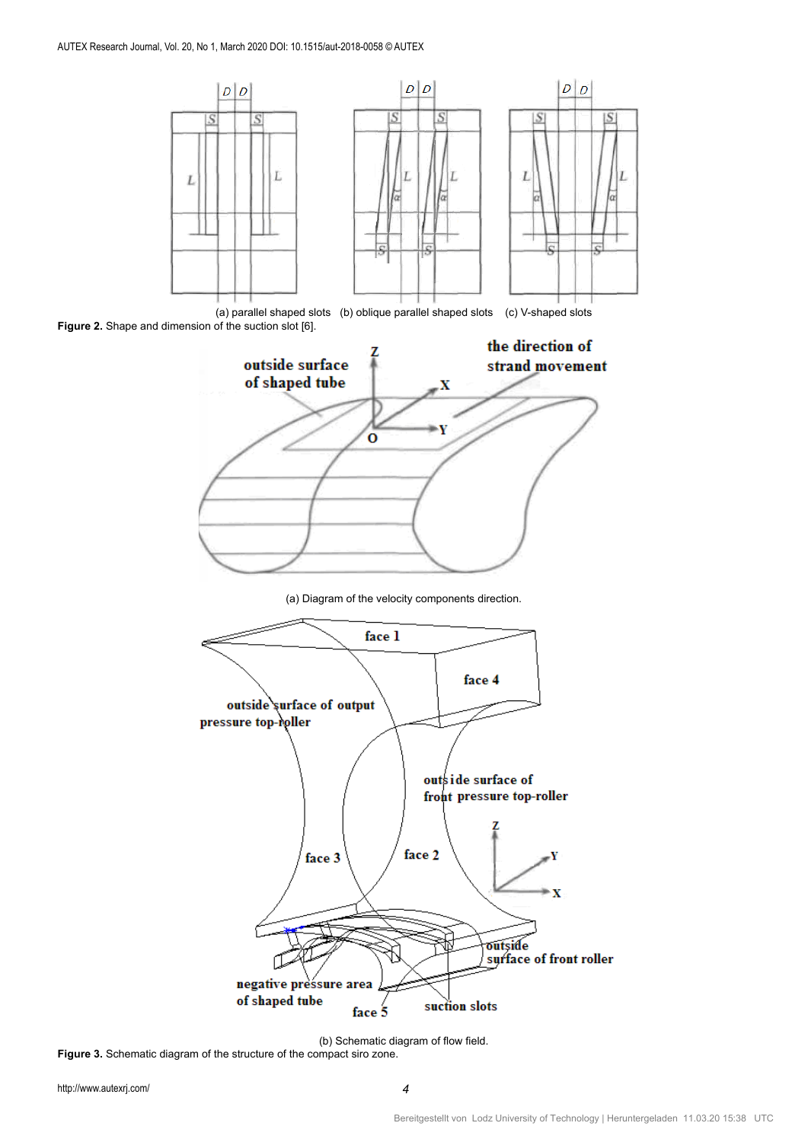

(a) parallel shaped slots (b) oblique parallel shaped slots (c) V-shaped slots **Figure 2.** Shape and dimension of the suction slot [6].



(a) Diagram of the velocity components direction.



(b) Schematic diagram of flow field. **Figure 3.** Schematic diagram of the structure of the compact siro zone.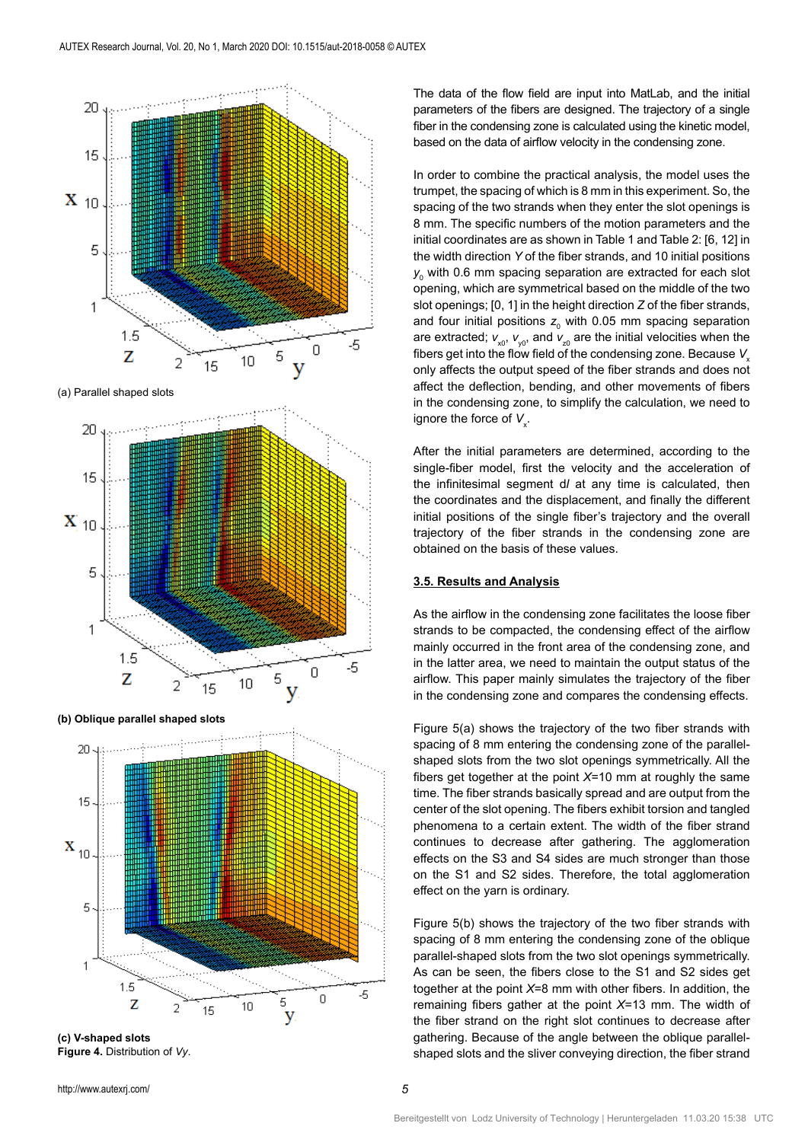

**(b) Oblique parallel shaped slots**

 $\overline{2}$ 

15

 $1.5$ 

Z

5

1



**(c) V-shaped slots Figure 4.** Distribution of *Vy*.

The data of the flow field are input into MatLab, and the initial parameters of the fibers are designed. The trajectory of a single fiber in the condensing zone is calculated using the kinetic model, based on the data of airflow velocity in the condensing zone.

In order to combine the practical analysis, the model uses the trumpet, the spacing of which is 8 mm in this experiment. So, the spacing of the two strands when they enter the slot openings is 8 mm. The specific numbers of the motion parameters and the initial coordinates are as shown in Table 1 and Table 2: [6, 12] in the width direction *Y* of the fiber strands, and 10 initial positions  $y_{\rm _0}$  with 0.6 mm spacing separation are extracted for each slot opening, which are symmetrical based on the middle of the two slot openings; [0, 1] in the height direction *Z* of the fiber strands, and four initial positions  $z_0$  with 0.05 mm spacing separation are extracted;  $v_{x0}$ ,  $v_{y0}$ , and  $v_{z0}$  are the initial velocities when the fibers get into the flow field of the condensing zone. Because V<sub>x</sub> only affects the output speed of the fiber strands and does not affect the deflection, bending, and other movements of fibers in the condensing zone, to simplify the calculation, we need to ignore the force of  $V_{\mathsf{x}}$ .

After the initial parameters are determined, according to the single-fiber model, first the velocity and the acceleration of the infinitesimal segment d*l* at any time is calculated, then the coordinates and the displacement, and finally the different initial positions of the single fiber's trajectory and the overall trajectory of the fiber strands in the condensing zone are obtained on the basis of these values.

## **3.5. Results and Analysis**

As the airflow in the condensing zone facilitates the loose fiber strands to be compacted, the condensing effect of the airflow mainly occurred in the front area of the condensing zone, and in the latter area, we need to maintain the output status of the airflow. This paper mainly simulates the trajectory of the fiber in the condensing zone and compares the condensing effects.

Figure 5(a) shows the trajectory of the two fiber strands with spacing of 8 mm entering the condensing zone of the parallelshaped slots from the two slot openings symmetrically. All the fibers get together at the point *X*=10 mm at roughly the same time. The fiber strands basically spread and are output from the center of the slot opening. The fibers exhibit torsion and tangled phenomena to a certain extent. The width of the fiber strand continues to decrease after gathering. The agglomeration effects on the S3 and S4 sides are much stronger than those on the S1 and S2 sides. Therefore, the total agglomeration effect on the yarn is ordinary.

Figure 5(b) shows the trajectory of the two fiber strands with spacing of 8 mm entering the condensing zone of the oblique parallel-shaped slots from the two slot openings symmetrically. As can be seen, the fibers close to the S1 and S2 sides get together at the point *X*=8 mm with other fibers. In addition, the remaining fibers gather at the point *X*=13 mm. The width of the fiber strand on the right slot continues to decrease after gathering. Because of the angle between the oblique parallelshaped slots and the sliver conveying direction, the fiber strand

-5

 $\overline{0}$ 

5

y

10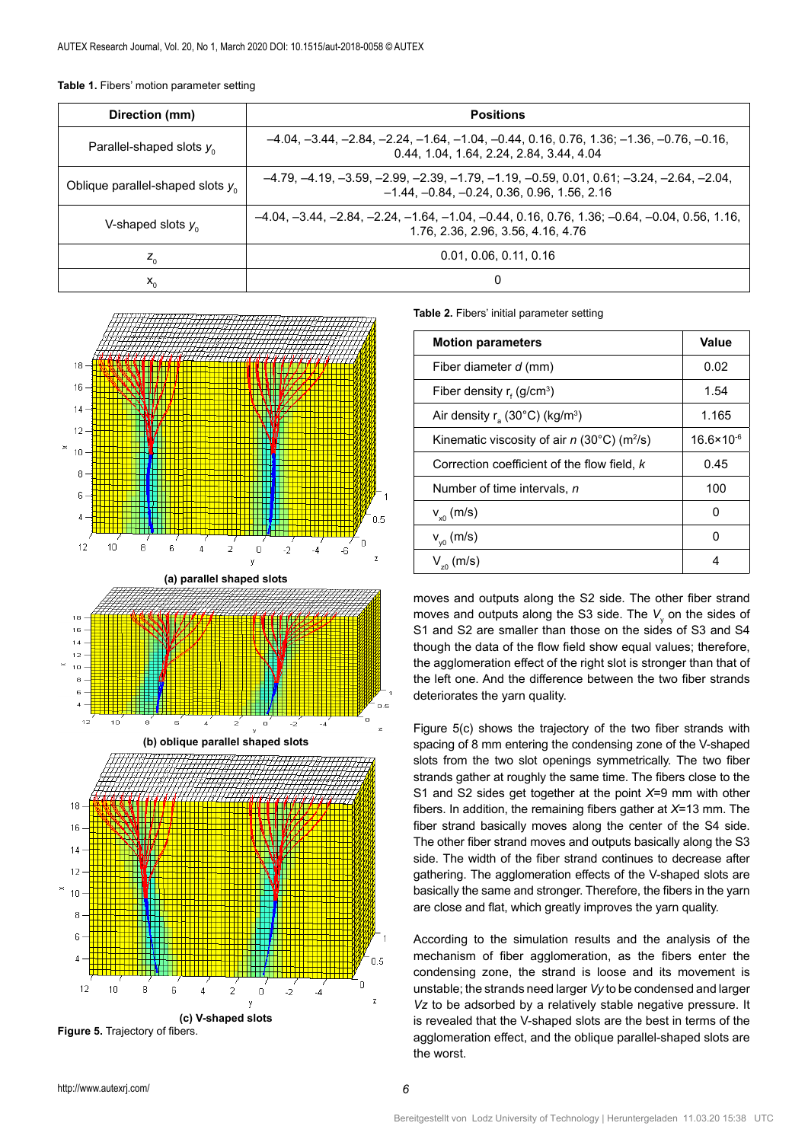| Table 1. Fibers' motion parameter setting |  |  |  |  |  |
|-------------------------------------------|--|--|--|--|--|
|-------------------------------------------|--|--|--|--|--|

| Direction (mm)                        | <b>Positions</b>                                                                                                                            |  |  |  |
|---------------------------------------|---------------------------------------------------------------------------------------------------------------------------------------------|--|--|--|
| Parallel-shaped slots $y_0$           | $-4.04, -3.44, -2.84, -2.24, -1.64, -1.04, -0.44, 0.16, 0.76, 1.36, -1.36, -0.76, -0.16,$<br>0.44, 1.04, 1.64, 2.24, 2.84, 3.44, 4.04       |  |  |  |
| Oblique parallel-shaped slots $y_{0}$ | $-4.79, -4.19, -3.59, -2.99, -2.39, -1.79, -1.19, -0.59, 0.01, 0.61, -3.24, -2.64, -2.04,$<br>$-1.44, -0.84, -0.24, 0.36, 0.96, 1.56, 2.16$ |  |  |  |
| V-shaped slots $y_{0}$                | $-4.04, -3.44, -2.84, -2.24, -1.64, -1.04, -0.44, 0.16, 0.76, 1.36, -0.64, -0.04, 0.56, 1.16,$<br>1.76, 2.36, 2.96, 3.56, 4.16, 4.76        |  |  |  |
| $Z_{0}$                               | 0.01, 0.06, 0.11, 0.16                                                                                                                      |  |  |  |
| $x_{0}$                               | 0                                                                                                                                           |  |  |  |



**(c) V-shaped slots**

**Table 2.** Fibers' initial parameter setting

| <b>Motion parameters</b>                                  | Value                 |
|-----------------------------------------------------------|-----------------------|
| Fiber diameter d (mm)                                     | 0.02                  |
| Fiber density $r_{f}$ (g/cm <sup>3</sup> )                | 1.54                  |
| Air density $r_a$ (30°C) (kg/m <sup>3</sup> )             | 1.165                 |
| Kinematic viscosity of air $n$ (30°C) (m <sup>2</sup> /s) | $16.6 \times 10^{-6}$ |
| Correction coefficient of the flow field, k               | 0.45                  |
| Number of time intervals, n                               | 100                   |
| $V_{x0}$ (m/s)                                            | O                     |
| $V_{\nu 0}$ (m/s)                                         | ŋ                     |
| $V_{z0}$ (m/s)                                            | 4                     |

moves and outputs along the S2 side. The other fiber strand moves and outputs along the S3 side. The  $V_{\text{y}}$  on the sides of S1 and S2 are smaller than those on the sides of S3 and S4 though the data of the flow field show equal values; therefore, the agglomeration effect of the right slot is stronger than that of the left one. And the difference between the two fiber strands deteriorates the yarn quality.

Figure 5(c) shows the trajectory of the two fiber strands with spacing of 8 mm entering the condensing zone of the V-shaped slots from the two slot openings symmetrically. The two fiber strands gather at roughly the same time. The fibers close to the S1 and S2 sides get together at the point *X*=9 mm with other fibers. In addition, the remaining fibers gather at *X*=13 mm. The fiber strand basically moves along the center of the S4 side. The other fiber strand moves and outputs basically along the S3 side. The width of the fiber strand continues to decrease after gathering. The agglomeration effects of the V-shaped slots are basically the same and stronger. Therefore, the fibers in the yarn are close and flat, which greatly improves the yarn quality.

According to the simulation results and the analysis of the mechanism of fiber agglomeration, as the fibers enter the condensing zone, the strand is loose and its movement is unstable; the strands need larger *Vy* to be condensed and larger *Vz* to be adsorbed by a relatively stable negative pressure. It is revealed that the V-shaped slots are the best in terms of the agglomeration effect, and the oblique parallel-shaped slots are the worst.

**Figure 5.** Trajectory of fibers.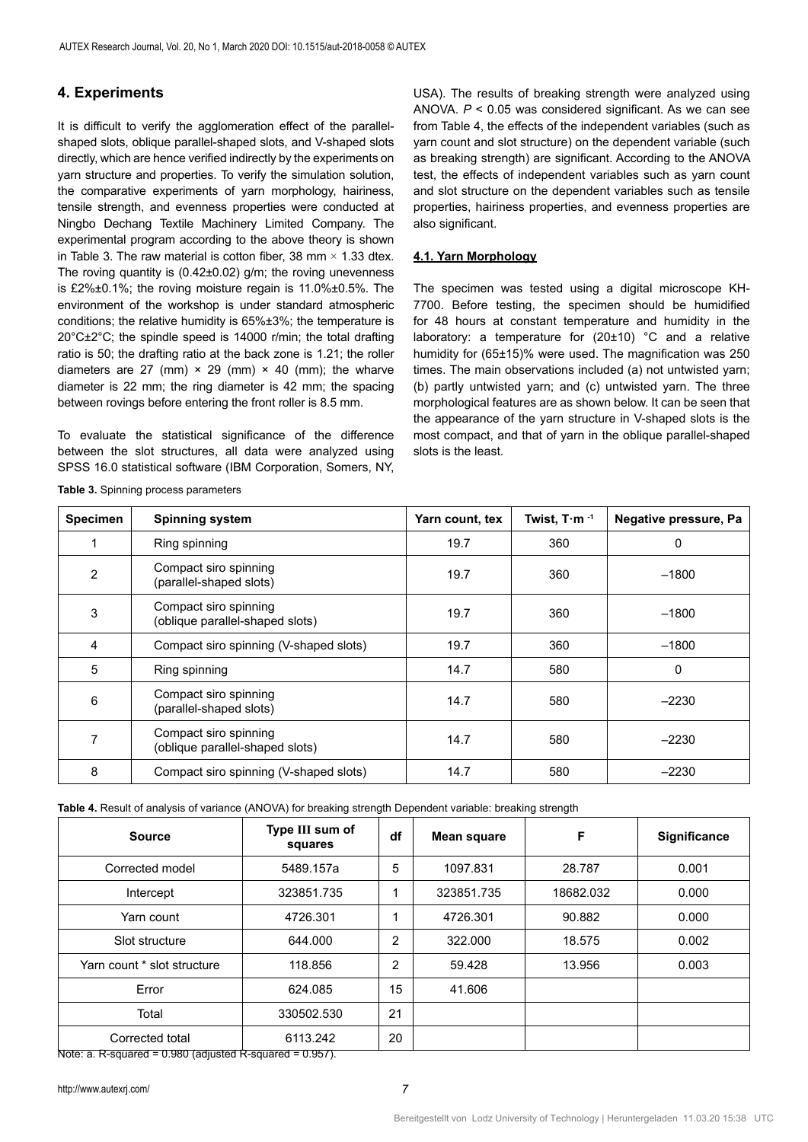# **4. Experiments**

It is difficult to verify the agglomeration effect of the parallelshaped slots, oblique parallel-shaped slots, and V-shaped slots directly, which are hence verified indirectly by the experiments on yarn structure and properties. To verify the simulation solution, the comparative experiments of yarn morphology, hairiness, tensile strength, and evenness properties were conducted at Ningbo Dechang Textile Machinery Limited Company. The experimental program according to the above theory is shown in Table 3. The raw material is cotton fiber, 38 mm  $\times$  1.33 dtex. The roving quantity is (0.42±0.02) g/m; the roving unevenness is £2%±0.1%; the roving moisture regain is 11.0%±0.5%. The environment of the workshop is under standard atmospheric conditions; the relative humidity is 65%±3%; the temperature is 20°C±2°C; the spindle speed is 14000 r/min; the total drafting ratio is 50; the drafting ratio at the back zone is 1.21; the roller diameters are 27 (mm)  $\times$  29 (mm)  $\times$  40 (mm); the wharve diameter is 22 mm; the ring diameter is 42 mm; the spacing between rovings before entering the front roller is 8.5 mm.

To evaluate the statistical significance of the difference between the slot structures, all data were analyzed using SPSS 16.0 statistical software (IBM Corporation, Somers, NY, USA). The results of breaking strength were analyzed using ANOVA. *P* < 0.05 was considered significant. As we can see from Table 4, the effects of the independent variables (such as yarn count and slot structure) on the dependent variable (such as breaking strength) are significant. According to the ANOVA test, the effects of independent variables such as yarn count and slot structure on the dependent variables such as tensile properties, hairiness properties, and evenness properties are also significant.

# **4.1. Yarn Morphology**

The specimen was tested using a digital microscope KH-7700. Before testing, the specimen should be humidified for 48 hours at constant temperature and humidity in the laboratory: a temperature for (20±10) °C and a relative humidity for (65±15)% were used. The magnification was 250 times. The main observations included (a) not untwisted yarn; (b) partly untwisted yarn; and (c) untwisted yarn. The three morphological features are as shown below. It can be seen that the appearance of the yarn structure in V-shaped slots is the most compact, and that of yarn in the oblique parallel-shaped slots is the least.

| <b>Specimen</b> | <b>Spinning system</b>                                   | Yarn count, tex | Twist, T $\cdot$ m $^{-1}$ | Negative pressure, Pa |
|-----------------|----------------------------------------------------------|-----------------|----------------------------|-----------------------|
|                 | Ring spinning                                            | 19.7            | 360                        | 0                     |
| $\overline{2}$  | Compact siro spinning<br>(parallel-shaped slots)         | 19.7            | 360                        | $-1800$               |
| 3               | Compact siro spinning<br>(oblique parallel-shaped slots) | 19.7            | 360                        | $-1800$               |
| 4               | Compact siro spinning (V-shaped slots)                   | 19.7            | 360                        | $-1800$               |
| 5               | Ring spinning                                            | 14.7            | 580                        | $\Omega$              |
| 6               | Compact siro spinning<br>(parallel-shaped slots)         | 14.7            | 580                        | $-2230$               |
|                 | Compact siro spinning<br>(oblique parallel-shaped slots) | 14.7            | 580                        | $-2230$               |
| 8               | Compact siro spinning (V-shaped slots)                   | 14.7            | 580                        | $-2230$               |

**Table 3.** Spinning process parameters

**Table 4.** Result of analysis of variance (ANOVA) for breaking strength Dependent variable: breaking strength

| <b>Source</b>                                                                                     | Type III sum of<br>squares | df             | <b>Mean square</b> | F         | Significance |
|---------------------------------------------------------------------------------------------------|----------------------------|----------------|--------------------|-----------|--------------|
| Corrected model                                                                                   | 5489.157a                  | 5              | 1097.831           | 28.787    | 0.001        |
| Intercept                                                                                         | 323851.735                 | 1              | 323851.735         | 18682.032 | 0.000        |
| Yarn count                                                                                        | 4726.301                   | 1              | 4726.301           | 90.882    | 0.000        |
| Slot structure                                                                                    | 644.000                    | 2              | 322,000            | 18.575    | 0.002        |
| Yarn count * slot structure                                                                       | 118.856                    | $\overline{2}$ | 59.428             | 13.956    | 0.003        |
| Error                                                                                             | 624.085                    | 15             | 41.606             |           |              |
| Total                                                                                             | 330502.530                 | 21             |                    |           |              |
| Corrected total<br>Notate $\Omega$ counted $= 0.000$ (odjusted $\overline{D}$ counted $= 0.057$ ) | 6113.242                   | 20             |                    |           |              |

Note: a. R-squared =  $0.980$  (adjusted R-squared =  $0.957$ ).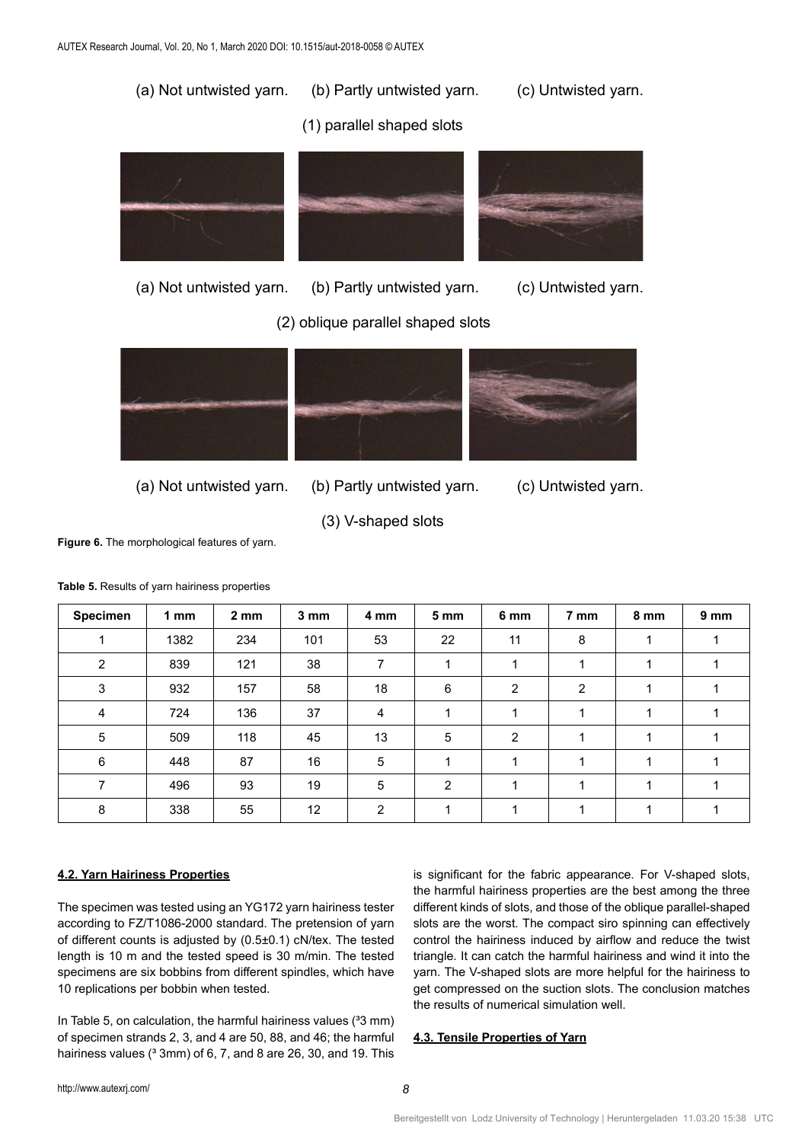

(2) oblique parallel shaped slots



- (a) Not untwisted yarn. (b) Partly untwisted yarn. (c) Untwisted yarn.
	-

(3) V-shaped slots **Figure 6.** The morphological features of yarn.

**Specimen 1 mm 2 mm 3 mm 4 mm 5 mm 6 mm 7 mm 8 mm 9 mm** 1 | 1382 | 234 | 101 | 53 | 22 | 11 | 8 | 1 | 1 2 | 839 | 121 | 38 | 7 | 1 | 1 | 1 | 1 | 1 3 | 932 | 157 | 58 | 18 | 6 | 2 | 2 | 1 | 1 4 | 724 | 136 | 37 | 4 | 1 | 1 | 1 | 1 | 1 | 1 5 | 509 | 118 | 45 | 13 | 5 | 2 | 1 | 1 | 1 6 | 448 | 87 | 16 | 5 | 1 | 1 | 1 | 1 | 1 7 | 496 | 93 | 19 | 5 | 2 | 1 | 1 | 1 | 1 8 | 338 | 55 | 12 | 2 | 1 | 1 | 1 | 1 | 1

**Table 5.** Results of yarn hairiness properties

# **4.2. Yarn Hairiness Properties**

The specimen was tested using an YG172 yarn hairiness tester according to FZ/T1086-2000 standard. The pretension of yarn of different counts is adjusted by (0.5±0.1) cN/tex. The tested length is 10 m and the tested speed is 30 m/min. The tested specimens are six bobbins from different spindles, which have 10 replications per bobbin when tested.

In Table 5, on calculation, the harmful hairiness values  $(33 \text{ mm})$ of specimen strands 2, 3, and 4 are 50, 88, and 46; the harmful hairiness values ( $3 \text{mm}$ ) of 6, 7, and 8 are 26, 30, and 19. This is significant for the fabric appearance. For V-shaped slots, the harmful hairiness properties are the best among the three different kinds of slots, and those of the oblique parallel-shaped slots are the worst. The compact siro spinning can effectively control the hairiness induced by airflow and reduce the twist triangle. It can catch the harmful hairiness and wind it into the yarn. The V-shaped slots are more helpful for the hairiness to get compressed on the suction slots. The conclusion matches the results of numerical simulation well.

# **4.3. Tensile Properties of Yarn**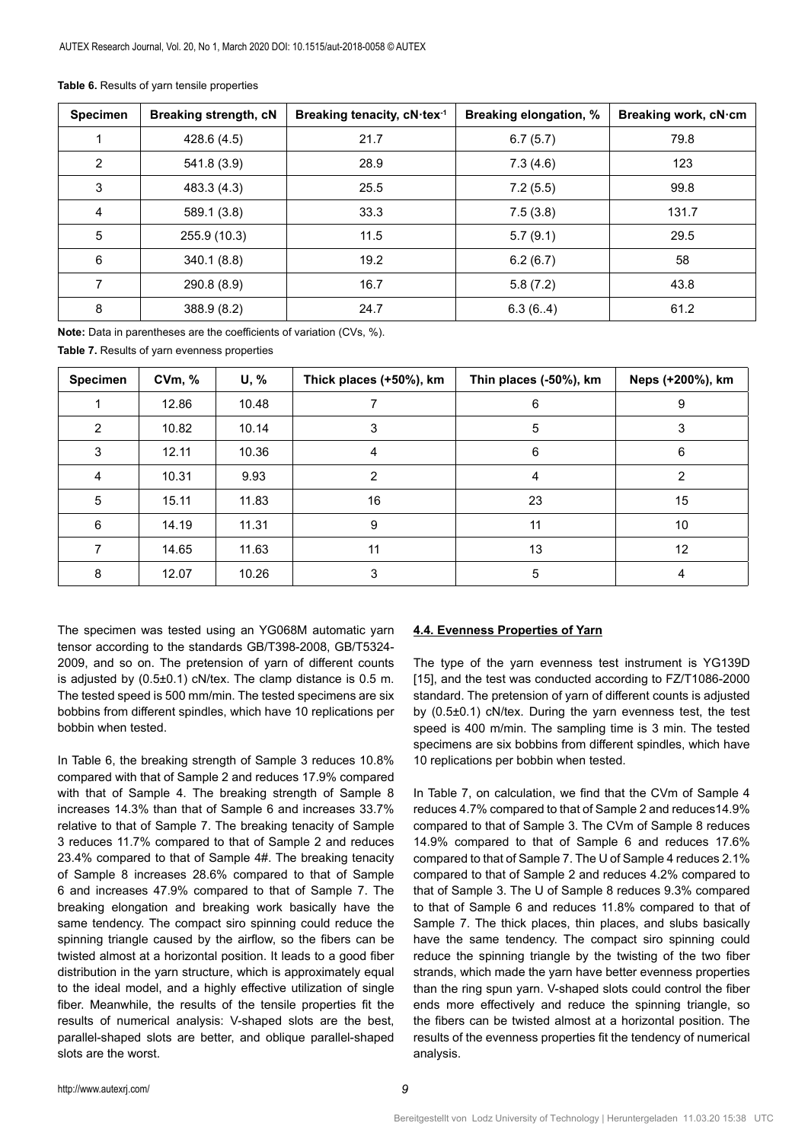| <b>Specimen</b> | Breaking strength, cN | Breaking tenacity, cN·tex-1 | Breaking elongation, % | Breaking work, cN·cm |
|-----------------|-----------------------|-----------------------------|------------------------|----------------------|
|                 | 428.6 (4.5)           | 21.7                        | 6.7(5.7)               | 79.8                 |
| $\overline{2}$  | 541.8 (3.9)           | 28.9                        | 7.3(4.6)               | 123                  |
| 3               | 483.3 (4.3)           | 25.5                        | 7.2(5.5)               | 99.8                 |
| 4               | 589.1 (3.8)           | 33.3                        | 7.5(3.8)               | 131.7                |
| 5               | 255.9 (10.3)          | 11.5                        | 5.7(9.1)               | 29.5                 |
| 6               | 340.1(8.8)            | 19.2                        | 6.2(6.7)               | 58                   |
| 7               | 290.8 (8.9)           | 16.7                        | 5.8(7.2)               | 43.8                 |
| 8               | 388.9 (8.2)           | 24.7                        | 6.3(6.4)               | 61.2                 |

**Table 6.** Results of yarn tensile properties

**Note:** Data in parentheses are the coefficients of variation (CVs, %).

**Table 7.** Results of yarn evenness properties

| Specimen | CVM, % | U, %  | Thick places (+50%), km | Thin places (-50%), km | Neps (+200%), km |
|----------|--------|-------|-------------------------|------------------------|------------------|
|          | 12.86  | 10.48 |                         | 6                      | 9                |
| 2        | 10.82  | 10.14 | 3                       | 5                      | 3                |
| 3        | 12.11  | 10.36 | 4                       | 6                      | 6                |
| 4        | 10.31  | 9.93  | 2                       | 4                      | 2                |
| 5        | 15.11  | 11.83 | 16                      | 23                     | 15               |
| 6        | 14.19  | 11.31 | 9                       | 11                     | 10 <sup>°</sup>  |
| 7        | 14.65  | 11.63 | 11                      | 13                     | 12               |
| 8        | 12.07  | 10.26 |                         | 5                      | 4                |

The specimen was tested using an YG068M automatic yarn tensor according to the standards GB/T398-2008, GB/T5324- 2009, and so on. The pretension of yarn of different counts is adjusted by (0.5±0.1) cN/tex. The clamp distance is 0.5 m. The tested speed is 500 mm/min. The tested specimens are six bobbins from different spindles, which have 10 replications per bobbin when tested.

In Table 6, the breaking strength of Sample 3 reduces 10.8% compared with that of Sample 2 and reduces 17.9% compared with that of Sample 4. The breaking strength of Sample 8 increases 14.3% than that of Sample 6 and increases 33.7% relative to that of Sample 7. The breaking tenacity of Sample 3 reduces 11.7% compared to that of Sample 2 and reduces 23.4% compared to that of Sample 4#. The breaking tenacity of Sample 8 increases 28.6% compared to that of Sample 6 and increases 47.9% compared to that of Sample 7. The breaking elongation and breaking work basically have the same tendency. The compact siro spinning could reduce the spinning triangle caused by the airflow, so the fibers can be twisted almost at a horizontal position. It leads to a good fiber distribution in the yarn structure, which is approximately equal to the ideal model, and a highly effective utilization of single fiber. Meanwhile, the results of the tensile properties fit the results of numerical analysis: V-shaped slots are the best, parallel-shaped slots are better, and oblique parallel-shaped slots are the worst.

# **4.4. Evenness Properties of Yarn**

The type of the yarn evenness test instrument is YG139D [15], and the test was conducted according to FZ/T1086-2000 standard. The pretension of yarn of different counts is adjusted by (0.5±0.1) cN/tex. During the yarn evenness test, the test speed is 400 m/min. The sampling time is 3 min. The tested specimens are six bobbins from different spindles, which have 10 replications per bobbin when tested.

In Table 7, on calculation, we find that the CVm of Sample 4 reduces 4.7% compared to that of Sample 2 and reduces14.9% compared to that of Sample 3. The CVm of Sample 8 reduces 14.9% compared to that of Sample 6 and reduces 17.6% compared to that of Sample 7. The U of Sample 4 reduces 2.1% compared to that of Sample 2 and reduces 4.2% compared to that of Sample 3. The U of Sample 8 reduces 9.3% compared to that of Sample 6 and reduces 11.8% compared to that of Sample 7. The thick places, thin places, and slubs basically have the same tendency. The compact siro spinning could reduce the spinning triangle by the twisting of the two fiber strands, which made the yarn have better evenness properties than the ring spun yarn. V-shaped slots could control the fiber ends more effectively and reduce the spinning triangle, so the fibers can be twisted almost at a horizontal position. The results of the evenness properties fit the tendency of numerical analysis.